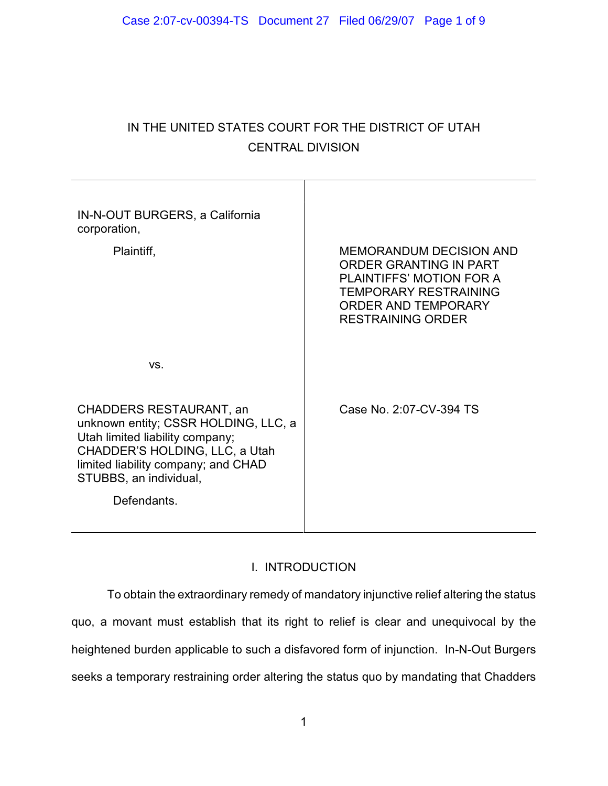# IN THE UNITED STATES COURT FOR THE DISTRICT OF UTAH CENTRAL DIVISION

| IN-N-OUT BURGERS, a California<br>corporation,<br>Plaintiff,                                                                                                                                                         | <b>MEMORANDUM DECISION AND</b><br>ORDER GRANTING IN PART<br><b>PLAINTIFFS' MOTION FOR A</b><br><b>TEMPORARY RESTRAINING</b><br>ORDER AND TEMPORARY<br><b>RESTRAINING ORDER</b> |
|----------------------------------------------------------------------------------------------------------------------------------------------------------------------------------------------------------------------|--------------------------------------------------------------------------------------------------------------------------------------------------------------------------------|
| VS.                                                                                                                                                                                                                  |                                                                                                                                                                                |
| CHADDERS RESTAURANT, an<br>unknown entity; CSSR HOLDING, LLC, a<br>Utah limited liability company;<br>CHADDER'S HOLDING, LLC, a Utah<br>limited liability company; and CHAD<br>STUBBS, an individual,<br>Defendants. | Case No. 2:07-CV-394 TS                                                                                                                                                        |
|                                                                                                                                                                                                                      |                                                                                                                                                                                |

# I. INTRODUCTION

To obtain the extraordinary remedy of mandatory injunctive relief altering the status quo, a movant must establish that its right to relief is clear and unequivocal by the heightened burden applicable to such a disfavored form of injunction. In-N-Out Burgers seeks a temporary restraining order altering the status quo by mandating that Chadders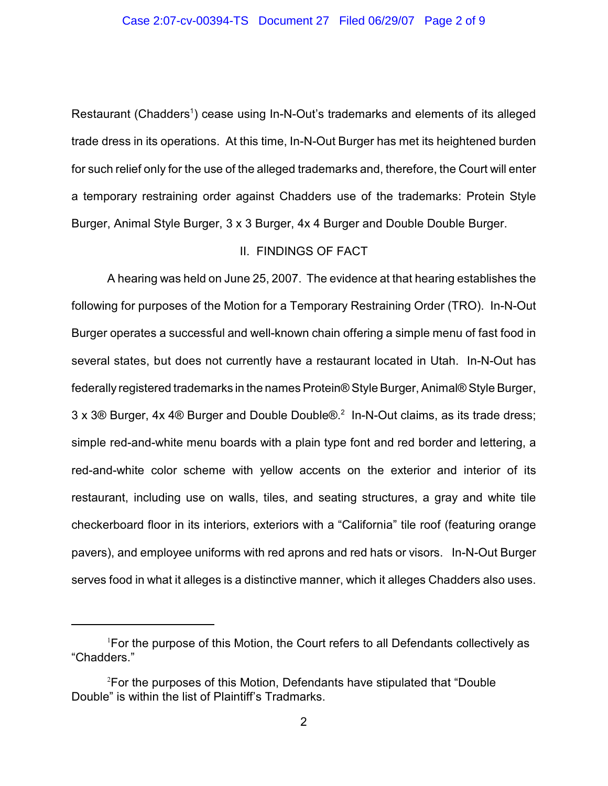Restaurant (Chadders<sup>1</sup>) cease using In-N-Out's trademarks and elements of its alleged trade dress in its operations. At this time, In-N-Out Burger has met its heightened burden for such relief only for the use of the alleged trademarks and, therefore, the Court will enter a temporary restraining order against Chadders use of the trademarks: Protein Style Burger, Animal Style Burger, 3 x 3 Burger, 4x 4 Burger and Double Double Burger.

# II. FINDINGS OF FACT

A hearing was held on June 25, 2007. The evidence at that hearing establishes the following for purposes of the Motion for a Temporary Restraining Order (TRO). In-N-Out Burger operates a successful and well-known chain offering a simple menu of fast food in several states, but does not currently have a restaurant located in Utah. In-N-Out has federally registered trademarks in the names Protein® Style Burger, Animal® Style Burger,  $3 \times 3$ ® Burger,  $4 \times 4$ ® Burger and Double Double®.<sup>2</sup> In-N-Out claims, as its trade dress; simple red-and-white menu boards with a plain type font and red border and lettering, a red-and-white color scheme with yellow accents on the exterior and interior of its restaurant, including use on walls, tiles, and seating structures, a gray and white tile checkerboard floor in its interiors, exteriors with a "California" tile roof (featuring orange pavers), and employee uniforms with red aprons and red hats or visors. In-N-Out Burger serves food in what it alleges is a distinctive manner, which it alleges Chadders also uses.

<sup>&</sup>lt;sup>1</sup>For the purpose of this Motion, the Court refers to all Defendants collectively as "Chadders."

<sup>&</sup>lt;sup>2</sup>For the purposes of this Motion, Defendants have stipulated that "Double Double" is within the list of Plaintiff's Tradmarks.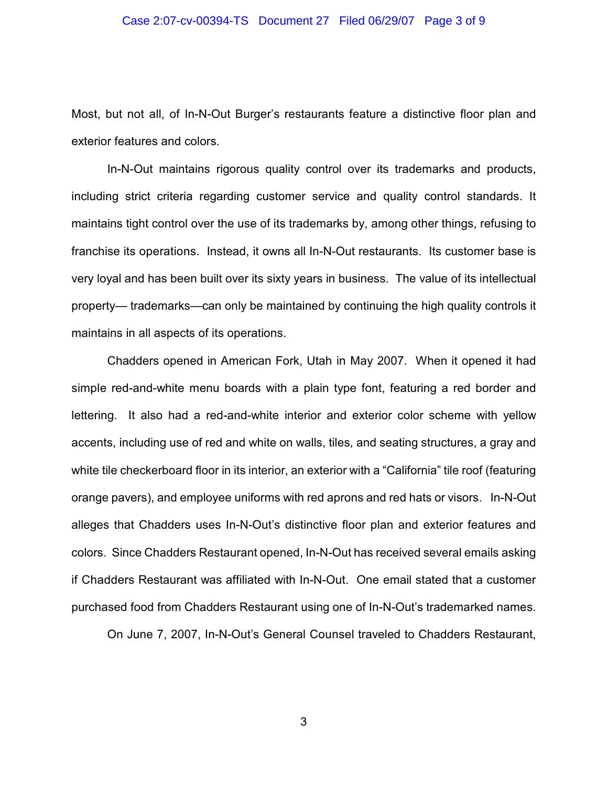#### Case 2:07-cv-00394-TS Document 27 Filed 06/29/07 Page 3 of 9

Most, but not all, of In-N-Out Burger's restaurants feature a distinctive floor plan and exterior features and colors.

In-N-Out maintains rigorous quality control over its trademarks and products, including strict criteria regarding customer service and quality control standards. It maintains tight control over the use of its trademarks by, among other things, refusing to franchise its operations. Instead, it owns all In-N-Out restaurants. Its customer base is very loyal and has been built over its sixty years in business. The value of its intellectual property— trademarks—can only be maintained by continuing the high quality controls it maintains in all aspects of its operations.

Chadders opened in American Fork, Utah in May 2007. When it opened it had simple red-and-white menu boards with a plain type font, featuring a red border and lettering. It also had a red-and-white interior and exterior color scheme with yellow accents, including use of red and white on walls, tiles, and seating structures, a gray and white tile checkerboard floor in its interior, an exterior with a "California" tile roof (featuring orange pavers), and employee uniforms with red aprons and red hats or visors. In-N-Out alleges that Chadders uses In-N-Out's distinctive floor plan and exterior features and colors. Since Chadders Restaurant opened, In-N-Out has received several emails asking if Chadders Restaurant was affiliated with In-N-Out. One email stated that a customer purchased food from Chadders Restaurant using one of In-N-Out's trademarked names.

On June 7, 2007, In-N-Out's General Counsel traveled to Chadders Restaurant,

3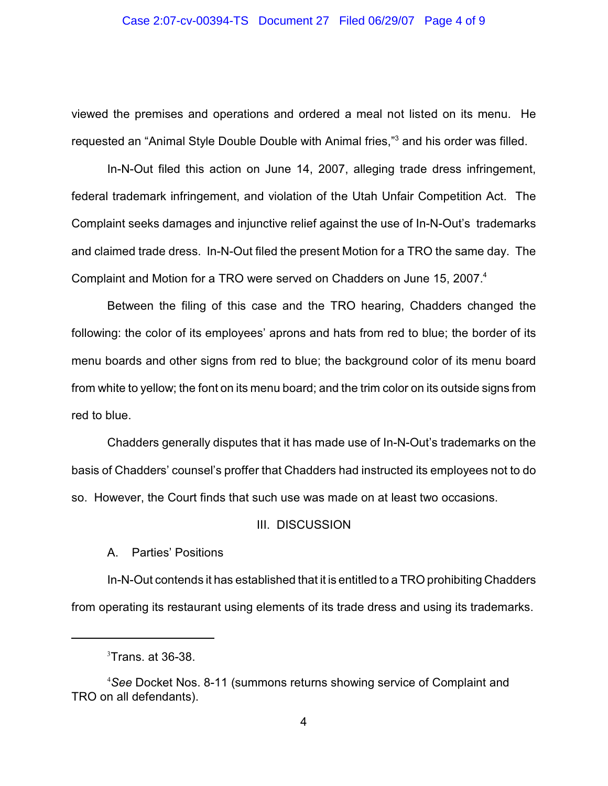#### Case 2:07-cv-00394-TS Document 27 Filed 06/29/07 Page 4 of 9

viewed the premises and operations and ordered a meal not listed on its menu. He requested an "Animal Style Double Double with Animal fries,"<sup>3</sup> and his order was filled.

In-N-Out filed this action on June 14, 2007, alleging trade dress infringement, federal trademark infringement, and violation of the Utah Unfair Competition Act. The Complaint seeks damages and injunctive relief against the use of In-N-Out's trademarks and claimed trade dress. In-N-Out filed the present Motion for a TRO the same day. The Complaint and Motion for a TRO were served on Chadders on June 15, 2007.<sup>4</sup>

Between the filing of this case and the TRO hearing, Chadders changed the following: the color of its employees' aprons and hats from red to blue; the border of its menu boards and other signs from red to blue; the background color of its menu board from white to yellow; the font on its menu board; and the trim color on its outside signs from red to blue.

Chadders generally disputes that it has made use of In-N-Out's trademarks on the basis of Chadders' counsel's proffer that Chadders had instructed its employees not to do so. However, the Court finds that such use was made on at least two occasions.

### III. DISCUSSION

# A. Parties' Positions

In-N-Out contends it has established that it is entitled to a TRO prohibiting Chadders from operating its restaurant using elements of its trade dress and using its trademarks.

 $3$ Trans. at 36-38.

<sup>&</sup>lt;sup>4</sup>See Docket Nos. 8-11 (summons returns showing service of Complaint and TRO on all defendants).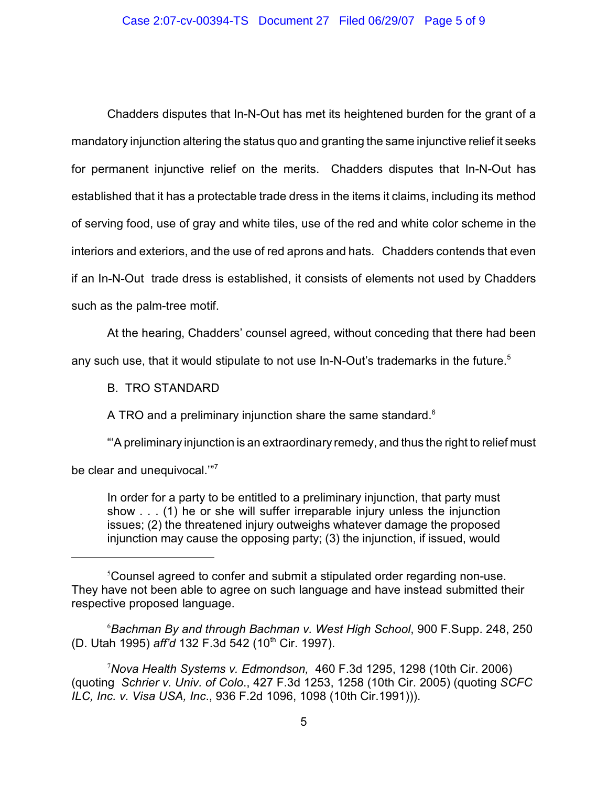Chadders disputes that In-N-Out has met its heightened burden for the grant of a mandatory injunction altering the status quo and granting the same injunctive relief it seeks for permanent injunctive relief on the merits. Chadders disputes that In-N-Out has established that it has a protectable trade dress in the items it claims, including its method of serving food, use of gray and white tiles, use of the red and white color scheme in the interiors and exteriors, and the use of red aprons and hats. Chadders contends that even if an In-N-Out trade dress is established, it consists of elements not used by Chadders such as the palm-tree motif.

At the hearing, Chadders' counsel agreed, without conceding that there had been

any such use, that it would stipulate to not use In-N-Out's trademarks in the future.<sup>5</sup>

B. TRO STANDARD

A TRO and a preliminary injunction share the same standard.<sup>6</sup>

"'A preliminary injunction is an extraordinary remedy, and thus the right to relief must

be clear and unequivocal."<sup>7</sup>

In order for a party to be entitled to a preliminary injunction, that party must show . . . (1) he or she will suffer irreparable injury unless the injunction issues; (2) the threatened injury outweighs whatever damage the proposed injunction may cause the opposing party; (3) the injunction, if issued, would

*Bachman By and through Bachman v. West High School*, 900 F.Supp. 248, 250 <sup>6</sup> (D. Utah 1995) *aff'd* 132 F.3d 542 (10<sup>th</sup> Cir. 1997).

*Nova Health Systems v. Edmondson,* 460 F.3d 1295, 1298 (10th Cir. 2006) <sup>7</sup> (quoting *Schrier v. Univ. of Colo*., 427 F.3d 1253, 1258 (10th Cir. 2005) (quoting *SCFC ILC, Inc. v. Visa USA, Inc*., 936 F.2d 1096, 1098 (10th Cir.1991))).

<sup>&</sup>lt;sup>5</sup> Counsel agreed to confer and submit a stipulated order regarding non-use. They have not been able to agree on such language and have instead submitted their respective proposed language.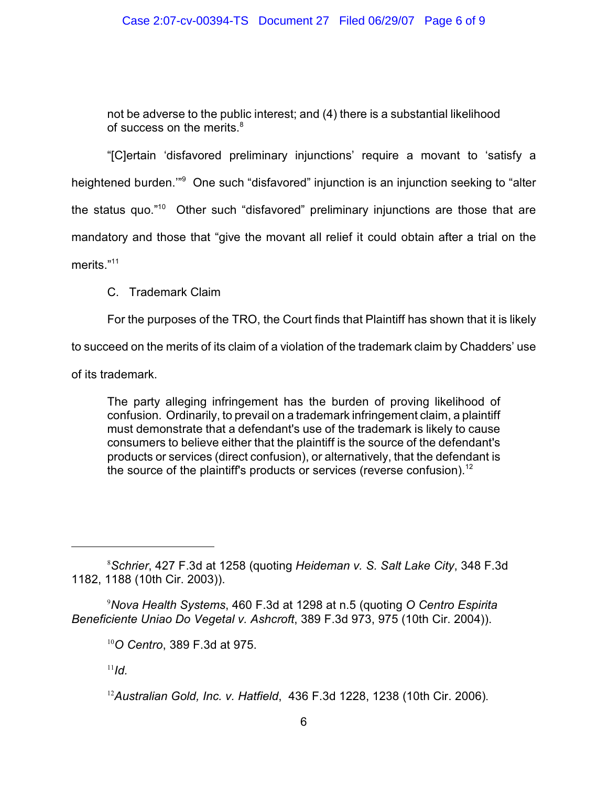not be adverse to the public interest; and (4) there is a substantial likelihood of success on the merits. $8$ 

"[C]ertain 'disfavored preliminary injunctions' require a movant to 'satisfy a heightened burden."<sup>9</sup> One such "disfavored" injunction is an injunction seeking to "alter the status quo."<sup>10</sup> Other such "disfavored" preliminary injunctions are those that are mandatory and those that "give the movant all relief it could obtain after a trial on the merits."<sup>11</sup>

C. Trademark Claim

For the purposes of the TRO, the Court finds that Plaintiff has shown that it is likely

to succeed on the merits of its claim of a violation of the trademark claim by Chadders' use

of its trademark.

The party alleging infringement has the burden of proving likelihood of confusion. Ordinarily, to prevail on a trademark infringement claim, a plaintiff must demonstrate that a defendant's use of the trademark is likely to cause consumers to believe either that the plaintiff is the source of the defendant's products or services (direct confusion), or alternatively, that the defendant is the source of the plaintiff's products or services (reverse confusion).<sup>12</sup>

 $^{11}$ *Id.* 

*Schrier*, 427 F.3d at 1258 (quoting *Heideman v. S. Salt Lake City*, 348 F.3d <sup>8</sup> 1182, 1188 (10th Cir. 2003)).

*Nova Health Systems*, 460 F.3d at 1298 at n.5 (quoting *O Centro Espirita* 9 *Beneficiente Uniao Do Vegetal v. Ashcroft*, 389 F.3d 973, 975 (10th Cir. 2004)).

*O Centro*, 389 F.3d at 975. 10

*Australian Gold, Inc. v. Hatfield*, 436 F.3d 1228, 1238 (10th Cir. 2006). 12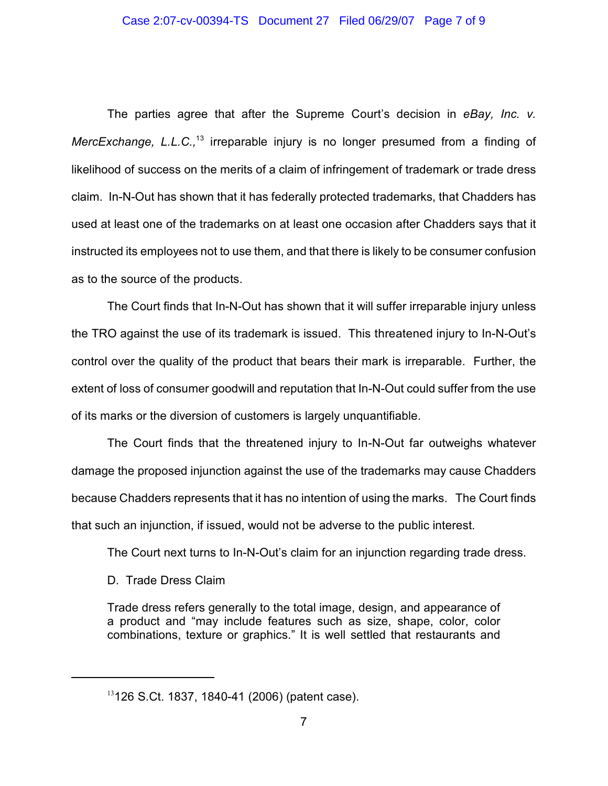The parties agree that after the Supreme Court's decision in *eBay, Inc. v. MercExchange, L.L.C.*,<sup>13</sup> irreparable injury is no longer presumed from a finding of likelihood of success on the merits of a claim of infringement of trademark or trade dress claim. In-N-Out has shown that it has federally protected trademarks, that Chadders has used at least one of the trademarks on at least one occasion after Chadders says that it instructed its employees not to use them, and that there is likely to be consumer confusion as to the source of the products.

The Court finds that In-N-Out has shown that it will suffer irreparable injury unless the TRO against the use of its trademark is issued. This threatened injury to In-N-Out's control over the quality of the product that bears their mark is irreparable. Further, the extent of loss of consumer goodwill and reputation that In-N-Out could suffer from the use of its marks or the diversion of customers is largely unquantifiable.

The Court finds that the threatened injury to In-N-Out far outweighs whatever damage the proposed injunction against the use of the trademarks may cause Chadders because Chadders represents that it has no intention of using the marks. The Court finds that such an injunction, if issued, would not be adverse to the public interest.

The Court next turns to In-N-Out's claim for an injunction regarding trade dress.

D. Trade Dress Claim

Trade dress refers generally to the total image, design, and appearance of a product and "may include features such as size, shape, color, color combinations, texture or graphics." It is well settled that restaurants and

 $13126$  S.Ct. 1837, 1840-41 (2006) (patent case).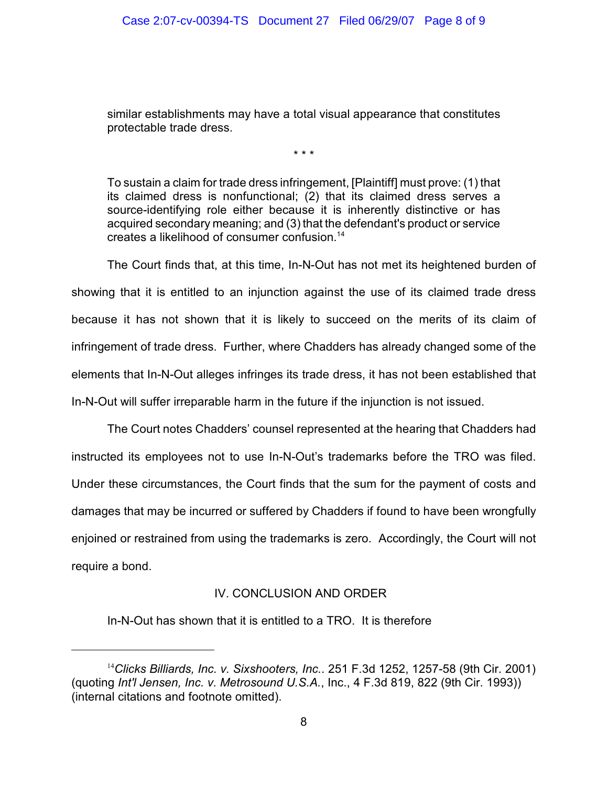similar establishments may have a total visual appearance that constitutes protectable trade dress.

\* \* \*

To sustain a claim for trade dress infringement, [Plaintiff] must prove: (1) that its claimed dress is nonfunctional; (2) that its claimed dress serves a source-identifying role either because it is inherently distinctive or has acquired secondary meaning; and (3) that the defendant's product or service creates a likelihood of consumer confusion. 14

The Court finds that, at this time, In-N-Out has not met its heightened burden of showing that it is entitled to an injunction against the use of its claimed trade dress because it has not shown that it is likely to succeed on the merits of its claim of infringement of trade dress. Further, where Chadders has already changed some of the elements that In-N-Out alleges infringes its trade dress, it has not been established that In-N-Out will suffer irreparable harm in the future if the injunction is not issued.

The Court notes Chadders' counsel represented at the hearing that Chadders had instructed its employees not to use In-N-Out's trademarks before the TRO was filed. Under these circumstances, the Court finds that the sum for the payment of costs and damages that may be incurred or suffered by Chadders if found to have been wrongfully enjoined or restrained from using the trademarks is zero. Accordingly, the Court will not require a bond.

### IV. CONCLUSION AND ORDER

In-N-Out has shown that it is entitled to a TRO. It is therefore

<sup>&</sup>lt;sup>14</sup> Clicks Billiards, Inc. v. Sixshooters, Inc.. 251 F.3d 1252, 1257-58 (9th Cir. 2001) (quoting *Int'l Jensen, Inc. v. Metrosound U.S.A.*, Inc., 4 F.3d 819, 822 (9th Cir. 1993)) (internal citations and footnote omitted).